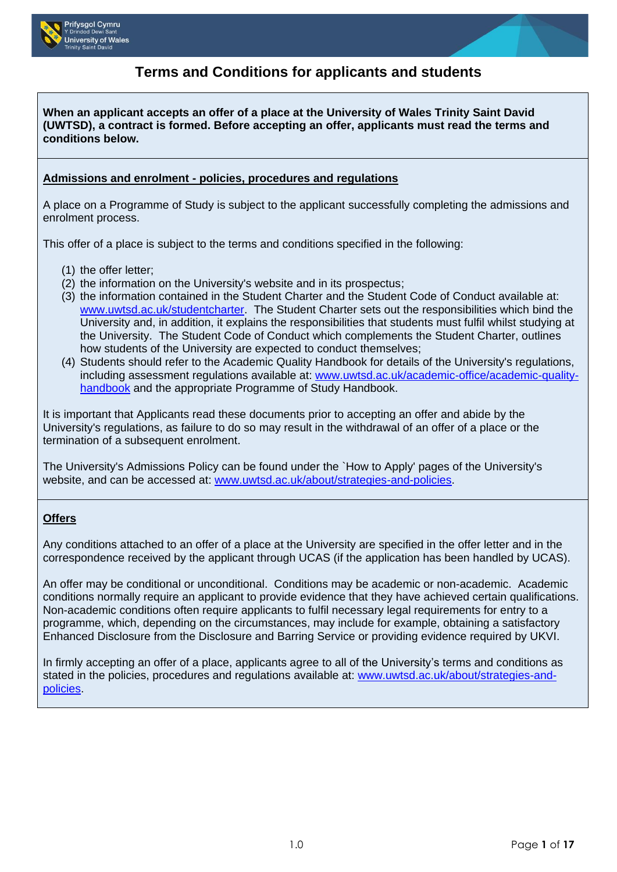

# **Terms and Conditions for applicants and students**

**When an applicant accepts an offer of a place at the University of Wales Trinity Saint David (UWTSD), a contract is formed. Before accepting an offer, applicants must read the terms and conditions below.** 

#### **Admissions and enrolment - policies, procedures and regulations**

A place on a Programme of Study is subject to the applicant successfully completing the admissions and enrolment process.

This offer of a place is subject to the terms and conditions specified in the following:

- (1) the offer letter;
- (2) the information on the University's website and in its prospectus;
- (3) the information contained in the Student Charter and the Student Code of Conduct available at: [www.uwtsd.ac.uk/studentcharter.](http://www.uwtsd.ac.uk/studentcharter) The Student Charter sets out the responsibilities which bind the University and, in addition, it explains the responsibilities that students must fulfil whilst studying at the University. The Student Code of Conduct which complements the Student Charter, outlines how students of the University are expected to conduct themselves;
- (4) Students should refer to the Academic Quality Handbook for details of the University's regulations, including assessment regulations available at: [www.uwtsd.ac.uk/academic-office/academic-quality](http://www.uwtsd.ac.uk/academic-office/academic-quality-handbook)[handbook](http://www.uwtsd.ac.uk/academic-office/academic-quality-handbook) and the appropriate Programme of Study Handbook.

It is important that Applicants read these documents prior to accepting an offer and abide by the University's regulations, as failure to do so may result in the withdrawal of an offer of a place or the termination of a subsequent enrolment.

The University's Admissions Policy can be found under the `How to Apply' pages of the University's website, and can be accessed at: [www.uwtsd.ac.uk/about/strategies-and-policies.](http://www.uwtsd.ac.uk/about/strategies-and-policies)

### **Offers**

Any conditions attached to an offer of a place at the University are specified in the offer letter and in the correspondence received by the applicant through UCAS (if the application has been handled by UCAS).

An offer may be conditional or unconditional. Conditions may be academic or non-academic. Academic conditions normally require an applicant to provide evidence that they have achieved certain qualifications. Non-academic conditions often require applicants to fulfil necessary legal requirements for entry to a programme, which, depending on the circumstances, may include for example, obtaining a satisfactory Enhanced Disclosure from the Disclosure and Barring Service or providing evidence required by UKVI.

In firmly accepting an offer of a place, applicants agree to all of the University's terms and conditions as stated in the policies, procedures and regulations available at: [www.uwtsd.ac.uk/about/strategies-and](http://www.uwtsd.ac.uk/about/strategies-and-policies/)[policies.](http://www.uwtsd.ac.uk/about/strategies-and-policies/)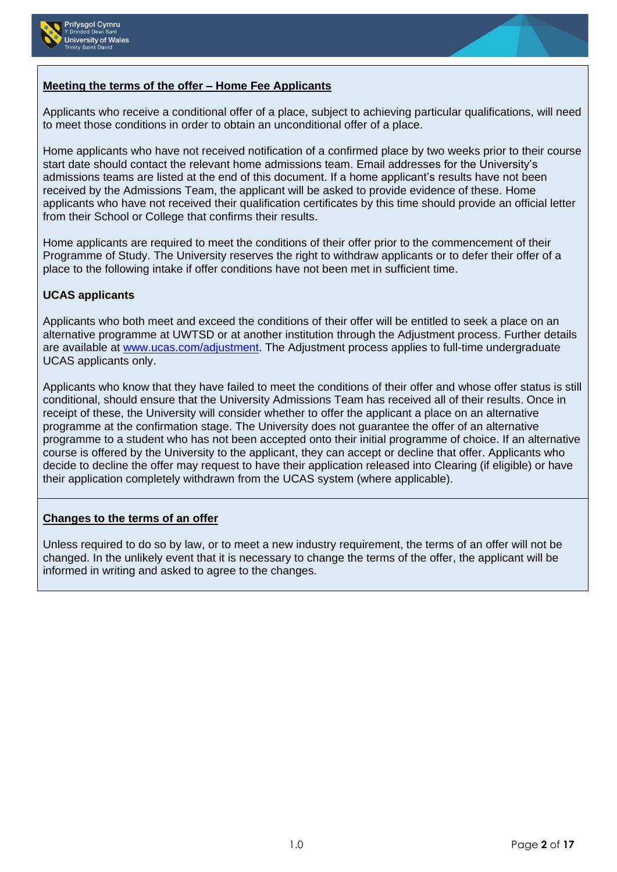



# **Meeting the terms of the offer – Home Fee Applicants**

Applicants who receive a conditional offer of a place, subject to achieving particular qualifications, will need to meet those conditions in order to obtain an unconditional offer of a place.

Home applicants who have not received notification of a confirmed place by two weeks prior to their course start date should contact the relevant home admissions team. Email addresses for the University's admissions teams are listed at the end of this document. If a home applicant's results have not been received by the Admissions Team, the applicant will be asked to provide evidence of these. Home applicants who have not received their qualification certificates by this time should provide an official letter from their School or College that confirms their results.

Home applicants are required to meet the conditions of their offer prior to the commencement of their Programme of Study. The University reserves the right to withdraw applicants or to defer their offer of a place to the following intake if offer conditions have not been met in sufficient time.

# **UCAS applicants**

Applicants who both meet and exceed the conditions of their offer will be entitled to seek a place on an alternative programme at UWTSD or at another institution through the Adjustment process. Further details are available at [www.ucas.com/adjustment.](http://www.ucas.com/adjustment) The Adjustment process applies to full-time undergraduate UCAS applicants only.

Applicants who know that they have failed to meet the conditions of their offer and whose offer status is still conditional, should ensure that the University Admissions Team has received all of their results. Once in receipt of these, the University will consider whether to offer the applicant a place on an alternative programme at the confirmation stage. The University does not guarantee the offer of an alternative programme to a student who has not been accepted onto their initial programme of choice. If an alternative course is offered by the University to the applicant, they can accept or decline that offer. Applicants who decide to decline the offer may request to have their application released into Clearing (if eligible) or have their application completely withdrawn from the UCAS system (where applicable).

# **Changes to the terms of an offer**

Unless required to do so by law, or to meet a new industry requirement, the terms of an offer will not be changed. In the unlikely event that it is necessary to change the terms of the offer, the applicant will be informed in writing and asked to agree to the changes.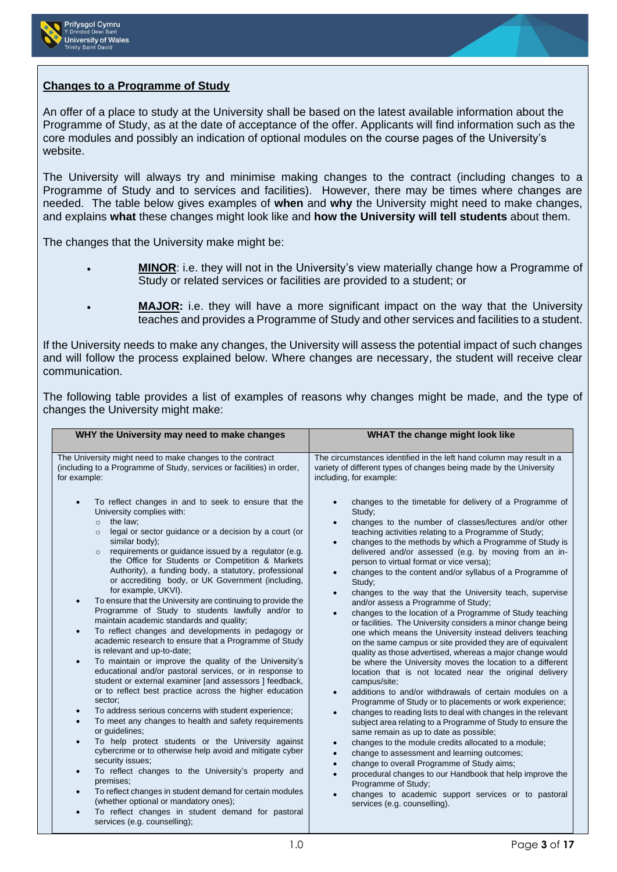



## **Changes to a Programme of Study**

An offer of a place to study at the University shall be based on the latest available information about the Programme of Study, as at the date of acceptance of the offer. Applicants will find information such as the core modules and possibly an indication of optional modules on the course pages of the University's website.

The University will always try and minimise making changes to the contract (including changes to a Programme of Study and to services and facilities). However, there may be times where changes are needed. The table below gives examples of **when** and **why** the University might need to make changes, and explains **what** these changes might look like and **how the University will tell students** about them.

The changes that the University make might be:

- **MINOR**: i.e. they will not in the University's view materially change how a Programme of Study or related services or facilities are provided to a student; or
- **MAJOR:** i.e. they will have a more significant impact on the way that the University teaches and provides a Programme of Study and other services and facilities to a student.

If the University needs to make any changes, the University will assess the potential impact of such changes and will follow the process explained below. Where changes are necessary, the student will receive clear communication.

The following table provides a list of examples of reasons why changes might be made, and the type of changes the University might make:

| WHY the University may need to make changes                                                                                                                                                                                                                                                                                                                                                                                                                                                                                                                                                                                                                                                                                                                                                                                                                                                                                                                                                                                                                                                                                                                                                                                                                                                                                                                                                                                                                                                                                                                                                                                | WHAT the change might look like                                                                                                                                                                                                                                                                                                                                                                                                                                                                                                                                                                                                                                                                                                                                                                                                                                                                                                                                                                                                                                                                                                                                                                                                                                                                                                                                                                                                                                                                                                                                                                                        |
|----------------------------------------------------------------------------------------------------------------------------------------------------------------------------------------------------------------------------------------------------------------------------------------------------------------------------------------------------------------------------------------------------------------------------------------------------------------------------------------------------------------------------------------------------------------------------------------------------------------------------------------------------------------------------------------------------------------------------------------------------------------------------------------------------------------------------------------------------------------------------------------------------------------------------------------------------------------------------------------------------------------------------------------------------------------------------------------------------------------------------------------------------------------------------------------------------------------------------------------------------------------------------------------------------------------------------------------------------------------------------------------------------------------------------------------------------------------------------------------------------------------------------------------------------------------------------------------------------------------------------|------------------------------------------------------------------------------------------------------------------------------------------------------------------------------------------------------------------------------------------------------------------------------------------------------------------------------------------------------------------------------------------------------------------------------------------------------------------------------------------------------------------------------------------------------------------------------------------------------------------------------------------------------------------------------------------------------------------------------------------------------------------------------------------------------------------------------------------------------------------------------------------------------------------------------------------------------------------------------------------------------------------------------------------------------------------------------------------------------------------------------------------------------------------------------------------------------------------------------------------------------------------------------------------------------------------------------------------------------------------------------------------------------------------------------------------------------------------------------------------------------------------------------------------------------------------------------------------------------------------------|
| The University might need to make changes to the contract<br>(including to a Programme of Study, services or facilities) in order,<br>for example:                                                                                                                                                                                                                                                                                                                                                                                                                                                                                                                                                                                                                                                                                                                                                                                                                                                                                                                                                                                                                                                                                                                                                                                                                                                                                                                                                                                                                                                                         | The circumstances identified in the left hand column may result in a<br>variety of different types of changes being made by the University<br>including, for example:                                                                                                                                                                                                                                                                                                                                                                                                                                                                                                                                                                                                                                                                                                                                                                                                                                                                                                                                                                                                                                                                                                                                                                                                                                                                                                                                                                                                                                                  |
| To reflect changes in and to seek to ensure that the<br>University complies with:<br>the law;<br>$\Omega$<br>legal or sector guidance or a decision by a court (or<br>$\circ$<br>similar body);<br>requirements or guidance issued by a regulator (e.g.<br>$\circ$<br>the Office for Students or Competition & Markets<br>Authority), a funding body, a statutory, professional<br>or accrediting body, or UK Government (including,<br>for example, UKVI).<br>To ensure that the University are continuing to provide the<br>Programme of Study to students lawfully and/or to<br>maintain academic standards and quality;<br>To reflect changes and developments in pedagogy or<br>$\bullet$<br>academic research to ensure that a Programme of Study<br>is relevant and up-to-date;<br>To maintain or improve the quality of the University's<br>$\bullet$<br>educational and/or pastoral services, or in response to<br>student or external examiner [and assessors ] feedback,<br>or to reflect best practice across the higher education<br>sector;<br>To address serious concerns with student experience;<br>To meet any changes to health and safety requirements<br>or guidelines;<br>To help protect students or the University against<br>cybercrime or to otherwise help avoid and mitigate cyber<br>security issues;<br>To reflect changes to the University's property and<br>$\bullet$<br>premises;<br>To reflect changes in student demand for certain modules<br>$\bullet$<br>(whether optional or mandatory ones);<br>To reflect changes in student demand for pastoral<br>services (e.g. counselling); | changes to the timetable for delivery of a Programme of<br>Study;<br>changes to the number of classes/lectures and/or other<br>teaching activities relating to a Programme of Study;<br>changes to the methods by which a Programme of Study is<br>delivered and/or assessed (e.g. by moving from an in-<br>person to virtual format or vice versa);<br>changes to the content and/or syllabus of a Programme of<br>Study:<br>changes to the way that the University teach, supervise<br>and/or assess a Programme of Study;<br>changes to the location of a Programme of Study teaching<br>or facilities. The University considers a minor change being<br>one which means the University instead delivers teaching<br>on the same campus or site provided they are of equivalent<br>quality as those advertised, whereas a major change would<br>be where the University moves the location to a different<br>location that is not located near the original delivery<br>campus/site;<br>additions to and/or withdrawals of certain modules on a<br>Programme of Study or to placements or work experience;<br>changes to reading lists to deal with changes in the relevant<br>subject area relating to a Programme of Study to ensure the<br>same remain as up to date as possible;<br>changes to the module credits allocated to a module;<br>change to assessment and learning outcomes;<br>change to overall Programme of Study aims;<br>procedural changes to our Handbook that help improve the<br>Programme of Study;<br>changes to academic support services or to pastoral<br>services (e.g. counselling). |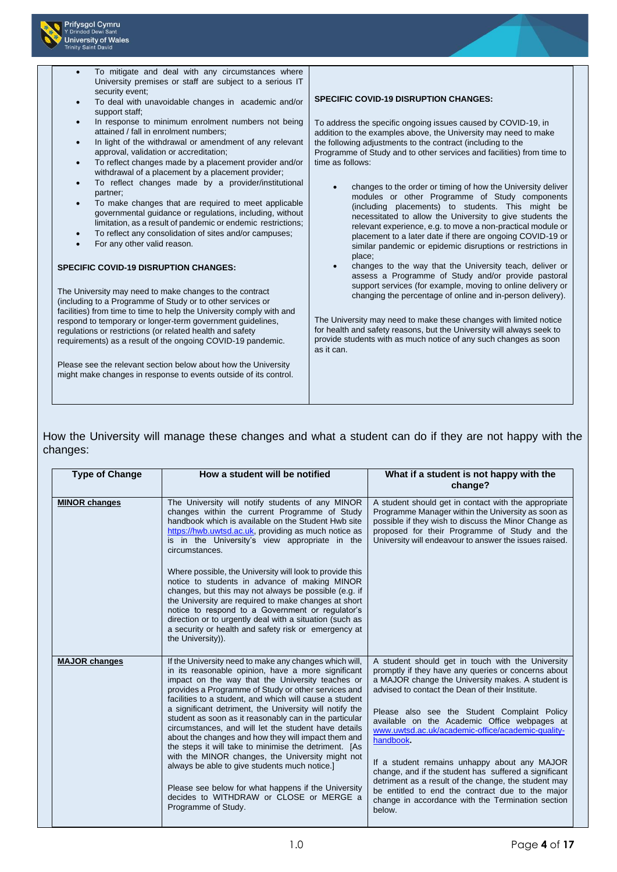

## How the University will manage these changes and what a student can do if they are not happy with the changes:

| <b>Type of Change</b> | How a student will be notified                                                                                                                                                                                                                                                                                                                                                                                                                                                                                                                                                                                                                                                                                                                                                                                                     | What if a student is not happy with the<br>change?                                                                                                                                                                                                                                                                                                                                                                                                                                                                                                                                                                                                                     |
|-----------------------|------------------------------------------------------------------------------------------------------------------------------------------------------------------------------------------------------------------------------------------------------------------------------------------------------------------------------------------------------------------------------------------------------------------------------------------------------------------------------------------------------------------------------------------------------------------------------------------------------------------------------------------------------------------------------------------------------------------------------------------------------------------------------------------------------------------------------------|------------------------------------------------------------------------------------------------------------------------------------------------------------------------------------------------------------------------------------------------------------------------------------------------------------------------------------------------------------------------------------------------------------------------------------------------------------------------------------------------------------------------------------------------------------------------------------------------------------------------------------------------------------------------|
| <b>MINOR changes</b>  | The University will notify students of any MINOR<br>changes within the current Programme of Study<br>handbook which is available on the Student Hwb site<br>https://hwb.uwtsd.ac.uk, providing as much notice as<br>is in the University's view appropriate in the<br>circumstances.<br>Where possible, the University will look to provide this<br>notice to students in advance of making MINOR<br>changes, but this may not always be possible (e.g. if<br>the University are required to make changes at short<br>notice to respond to a Government or regulator's<br>direction or to urgently deal with a situation (such as<br>a security or health and safety risk or emergency at                                                                                                                                          | A student should get in contact with the appropriate<br>Programme Manager within the University as soon as<br>possible if they wish to discuss the Minor Change as<br>proposed for their Programme of Study and the<br>University will endeavour to answer the issues raised.                                                                                                                                                                                                                                                                                                                                                                                          |
| <b>MAJOR changes</b>  | the University)).<br>If the University need to make any changes which will,<br>in its reasonable opinion, have a more significant<br>impact on the way that the University teaches or<br>provides a Programme of Study or other services and<br>facilities to a student, and which will cause a student<br>a significant detriment, the University will notify the<br>student as soon as it reasonably can in the particular<br>circumstances, and will let the student have details<br>about the changes and how they will impact them and<br>the steps it will take to minimise the detriment. [As<br>with the MINOR changes, the University might not<br>always be able to give students much notice.]<br>Please see below for what happens if the University<br>decides to WITHDRAW or CLOSE or MERGE a<br>Programme of Study. | A student should get in touch with the University<br>promptly if they have any queries or concerns about<br>a MAJOR change the University makes. A student is<br>advised to contact the Dean of their Institute.<br>Please also see the Student Complaint Policy<br>available on the Academic Office webpages at<br>www.uwtsd.ac.uk/academic-office/academic-quality-<br>handbook.<br>If a student remains unhappy about any MAJOR<br>change, and if the student has suffered a significant<br>detriment as a result of the change, the student may<br>be entitled to end the contract due to the major<br>change in accordance with the Termination section<br>below. |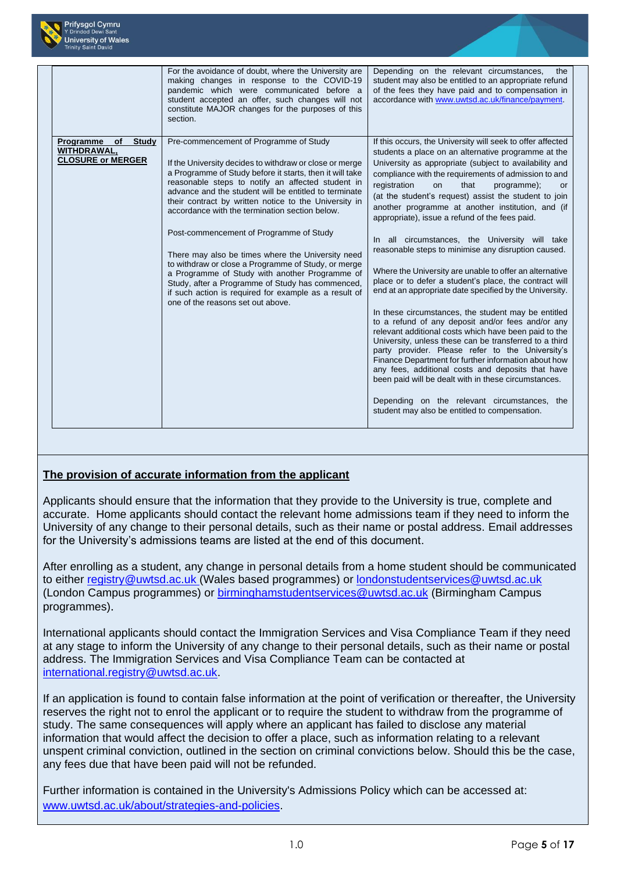

|                                                                            | For the avoidance of doubt, where the University are<br>making changes in response to the COVID-19<br>pandemic which were communicated before a<br>student accepted an offer, such changes will not<br>constitute MAJOR changes for the purposes of this<br>section.                                                                                                                                                                                                                                                                                                                                                                                                                                                                              | Depending on the relevant circumstances,<br>the<br>student may also be entitled to an appropriate refund<br>of the fees they have paid and to compensation in<br>accordance with www.uwtsd.ac.uk/finance/payment.                                                                                                                                                                                                                                                                                                                                                                                                                                                                                                                                                                                                                                                                                                                                                                                                                                                                                                                                                                                                                                                                                               |
|----------------------------------------------------------------------------|---------------------------------------------------------------------------------------------------------------------------------------------------------------------------------------------------------------------------------------------------------------------------------------------------------------------------------------------------------------------------------------------------------------------------------------------------------------------------------------------------------------------------------------------------------------------------------------------------------------------------------------------------------------------------------------------------------------------------------------------------|-----------------------------------------------------------------------------------------------------------------------------------------------------------------------------------------------------------------------------------------------------------------------------------------------------------------------------------------------------------------------------------------------------------------------------------------------------------------------------------------------------------------------------------------------------------------------------------------------------------------------------------------------------------------------------------------------------------------------------------------------------------------------------------------------------------------------------------------------------------------------------------------------------------------------------------------------------------------------------------------------------------------------------------------------------------------------------------------------------------------------------------------------------------------------------------------------------------------------------------------------------------------------------------------------------------------|
| Programme<br>of<br><b>Study</b><br>WITHDRAWAL,<br><b>CLOSURE or MERGER</b> | Pre-commencement of Programme of Study<br>If the University decides to withdraw or close or merge<br>a Programme of Study before it starts, then it will take<br>reasonable steps to notify an affected student in<br>advance and the student will be entitled to terminate<br>their contract by written notice to the University in<br>accordance with the termination section below.<br>Post-commencement of Programme of Study<br>There may also be times where the University need<br>to withdraw or close a Programme of Study, or merge<br>a Programme of Study with another Programme of<br>Study, after a Programme of Study has commenced,<br>if such action is required for example as a result of<br>one of the reasons set out above. | If this occurs, the University will seek to offer affected<br>students a place on an alternative programme at the<br>University as appropriate (subject to availability and<br>compliance with the requirements of admission to and<br>registration<br>that<br>programme);<br>on<br><b>or</b><br>(at the student's request) assist the student to join<br>another programme at another institution, and (if<br>appropriate), issue a refund of the fees paid.<br>In all circumstances, the University will take<br>reasonable steps to minimise any disruption caused.<br>Where the University are unable to offer an alternative<br>place or to defer a student's place, the contract will<br>end at an appropriate date specified by the University.<br>In these circumstances, the student may be entitled<br>to a refund of any deposit and/or fees and/or any<br>relevant additional costs which have been paid to the<br>University, unless these can be transferred to a third<br>party provider. Please refer to the University's<br>Finance Department for further information about how<br>any fees, additional costs and deposits that have<br>been paid will be dealt with in these circumstances.<br>Depending on the relevant circumstances, the<br>student may also be entitled to compensation. |

# **The provision of accurate information from the applicant**

Applicants should ensure that the information that they provide to the University is true, complete and accurate. Home applicants should contact the relevant home admissions team if they need to inform the University of any change to their personal details, such as their name or postal address. Email addresses for the University's admissions teams are listed at the end of this document.

After enrolling as a student, any change in personal details from a home student should be communicated to either [registry@uwtsd.ac.uk](mailto:registry@uwtsd.ac.uk) (Wales based programmes) or [londonstudentservices@uwtsd.ac.uk](mailto:londonstudentservices@uwtsd.ac.uk) (London Campus programmes) or [birminghamstudentservices@uwtsd.ac.uk](mailto:birminghamstudentservices@uwtsd.ac.uk) (Birmingham Campus programmes).

International applicants should contact the Immigration Services and Visa Compliance Team if they need at any stage to inform the University of any change to their personal details, such as their name or postal address. The Immigration Services and Visa Compliance Team can be contacted at [international.registry@uwtsd.ac.uk.](mailto:international.registry@uwtsd.ac.uk)

If an application is found to contain false information at the point of verification or thereafter, the University reserves the right not to enrol the applicant or to require the student to withdraw from the programme of study. The same consequences will apply where an applicant has failed to disclose any material information that would affect the decision to offer a place, such as information relating to a relevant unspent criminal conviction, outlined in the section on criminal convictions below. Should this be the case, any fees due that have been paid will not be refunded.

Further information is contained in the University's Admissions Policy which can be accessed at: [www.uwtsd.ac.uk/about/strategies-and-policies.](http://www.uwtsd.ac.uk/about/strategies-and-policies)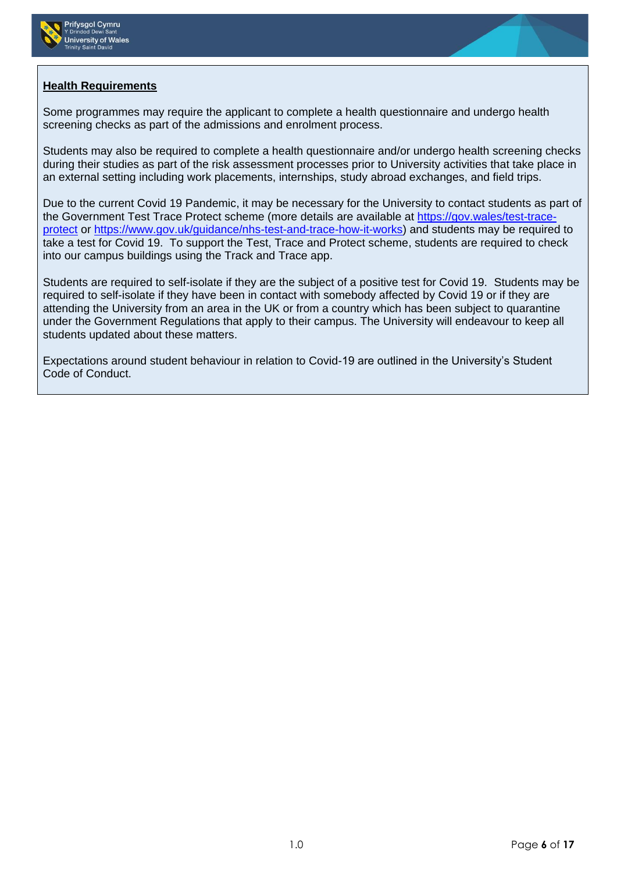



# **Health Requirements**

Some programmes may require the applicant to complete a health questionnaire and undergo health screening checks as part of the admissions and enrolment process.

Students may also be required to complete a health questionnaire and/or undergo health screening checks during their studies as part of the risk assessment processes prior to University activities that take place in an external setting including work placements, internships, study abroad exchanges, and field trips.

Due to the current Covid 19 Pandemic, it may be necessary for the University to contact students as part of the Government Test Trace Protect scheme (more details are available at [https://gov.wales/test-trace](https://eur01.safelinks.protection.outlook.com/?url=https%3A%2F%2Fgov.wales%2Ftest-trace-protect&data=02%7C01%7C%7Cc394c739599647e48c1f08d850c637c5%7C4e0f11f9046e45059cb8db2152311e21%7C0%7C0%7C637348159563891854&sdata=VR%2BeQm7G4pNrIb4BbdeR84m0uNOH0aVx32yiciVCdgM%3D&reserved=0)[protect](https://eur01.safelinks.protection.outlook.com/?url=https%3A%2F%2Fgov.wales%2Ftest-trace-protect&data=02%7C01%7C%7Cc394c739599647e48c1f08d850c637c5%7C4e0f11f9046e45059cb8db2152311e21%7C0%7C0%7C637348159563891854&sdata=VR%2BeQm7G4pNrIb4BbdeR84m0uNOH0aVx32yiciVCdgM%3D&reserved=0) or [https://www.gov.uk/guidance/nhs-test-and-trace-how-it-works\)](https://eur01.safelinks.protection.outlook.com/?url=https%3A%2F%2Fwww.gov.uk%2Fguidance%2Fnhs-test-and-trace-how-it-works&data=02%7C01%7C%7Cc394c739599647e48c1f08d850c637c5%7C4e0f11f9046e45059cb8db2152311e21%7C0%7C0%7C637348159563891854&sdata=S82igX6FYjqQBThrKFEK0wuqSL%2FYqCHD8qf2%2FshoY5o%3D&reserved=0) and students may be required to take a test for Covid 19. To support the Test, Trace and Protect scheme, students are required to check into our campus buildings using the Track and Trace app.

Students are required to self-isolate if they are the subject of a positive test for Covid 19. Students may be required to self-isolate if they have been in contact with somebody affected by Covid 19 or if they are attending the University from an area in the UK or from a country which has been subject to quarantine under the Government Regulations that apply to their campus. The University will endeavour to keep all students updated about these matters.

Expectations around student behaviour in relation to Covid-19 are outlined in the University's Student Code of Conduct.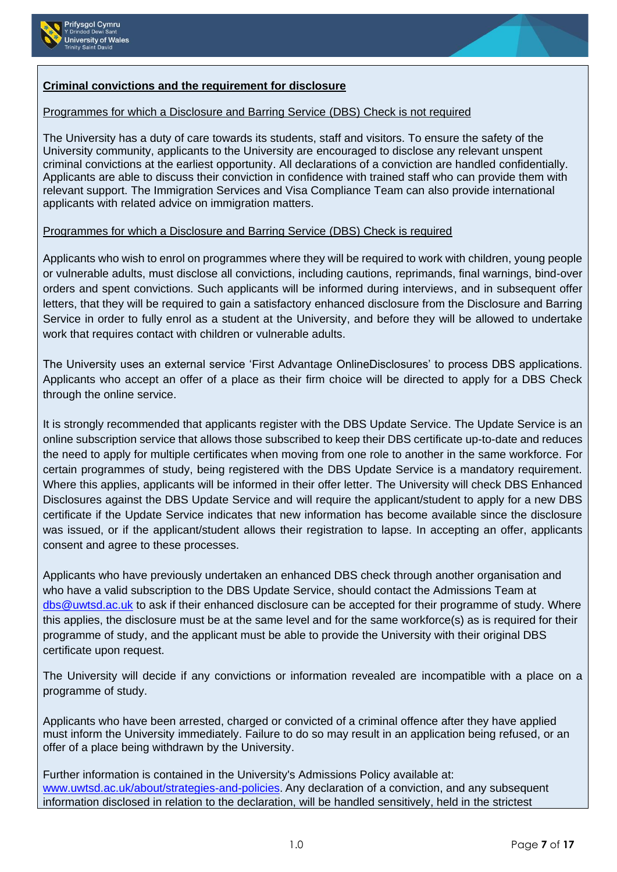



# **Criminal convictions and the requirement for disclosure**

# Programmes for which a Disclosure and Barring Service (DBS) Check is not required

The University has a duty of care towards its students, staff and visitors. To ensure the safety of the University community, applicants to the University are encouraged to disclose any relevant unspent criminal convictions at the earliest opportunity. All declarations of a conviction are handled confidentially. Applicants are able to discuss their conviction in confidence with trained staff who can provide them with relevant support. The Immigration Services and Visa Compliance Team can also provide international applicants with related advice on immigration matters.

# Programmes for which a Disclosure and Barring Service (DBS) Check is required

Applicants who wish to enrol on programmes where they will be required to work with children, young people or vulnerable adults, must disclose all convictions, including cautions, reprimands, final warnings, bind-over orders and spent convictions. Such applicants will be informed during interviews, and in subsequent offer letters, that they will be required to gain a satisfactory enhanced disclosure from the Disclosure and Barring Service in order to fully enrol as a student at the University, and before they will be allowed to undertake work that requires contact with children or vulnerable adults.

The University uses an external service 'First Advantage OnlineDisclosures' to process DBS applications. Applicants who accept an offer of a place as their firm choice will be directed to apply for a DBS Check through the online service.

It is strongly recommended that applicants register with the DBS Update Service. The Update Service is an online subscription service that allows those subscribed to keep their DBS certificate up-to-date and reduces the need to apply for multiple certificates when moving from one role to another in the same workforce. For certain programmes of study, being registered with the DBS Update Service is a mandatory requirement. Where this applies, applicants will be informed in their offer letter. The University will check DBS Enhanced Disclosures against the DBS Update Service and will require the applicant/student to apply for a new DBS certificate if the Update Service indicates that new information has become available since the disclosure was issued, or if the applicant/student allows their registration to lapse. In accepting an offer, applicants consent and agree to these processes.

Applicants who have previously undertaken an enhanced DBS check through another organisation and who have a valid subscription to the DBS Update Service, should contact the Admissions Team at [dbs@uwtsd.ac.uk](mailto:dbs@uwtsd.ac.uk) to ask if their enhanced disclosure can be accepted for their programme of study. Where this applies, the disclosure must be at the same level and for the same workforce(s) as is required for their programme of study, and the applicant must be able to provide the University with their original DBS certificate upon request.

The University will decide if any convictions or information revealed are incompatible with a place on a programme of study.

Applicants who have been arrested, charged or convicted of a criminal offence after they have applied must inform the University immediately. Failure to do so may result in an application being refused, or an offer of a place being withdrawn by the University.

Further information is contained in the University's Admissions Policy available at: [www.uwtsd.ac.uk/about/strategies-and-policies](http://www.uwtsd.ac.uk/about/strategies-and-policies). Any declaration of a conviction, and any subsequent information disclosed in relation to the declaration, will be handled sensitively, held in the strictest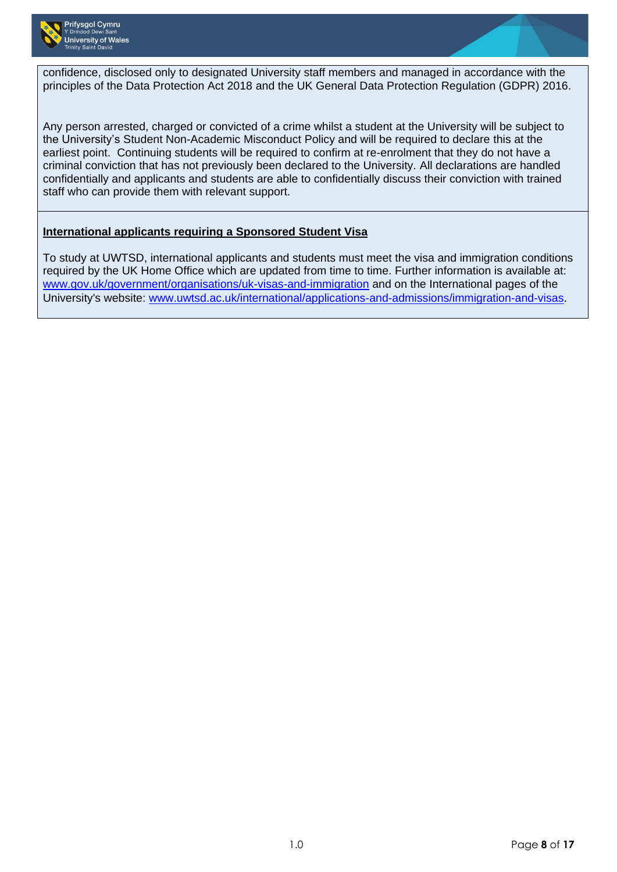

confidence, disclosed only to designated University staff members and managed in accordance with the principles of the Data Protection Act 2018 and the UK General Data Protection Regulation (GDPR) 2016.

Any person arrested, charged or convicted of a crime whilst a student at the University will be subject to the University's Student Non-Academic Misconduct Policy and will be required to declare this at the earliest point. Continuing students will be required to confirm at re-enrolment that they do not have a criminal conviction that has not previously been declared to the University. All declarations are handled confidentially and applicants and students are able to confidentially discuss their conviction with trained staff who can provide them with relevant support.

# **International applicants requiring a Sponsored Student Visa**

To study at UWTSD, international applicants and students must meet the visa and immigration conditions required by the UK Home Office which are updated from time to time. Further information is available at: [www.gov.uk/government/organisations/uk-visas-and-immigration](http://www.gov.uk/government/organisations/uk-visas-and-immigration) and on the International pages of the University's website: [www.uwtsd.ac.uk/international/applications-and-admissions/immigration-and-visas](http://www.uwtsd.ac.uk/international/applications-and-admissions/immigration-and-visas).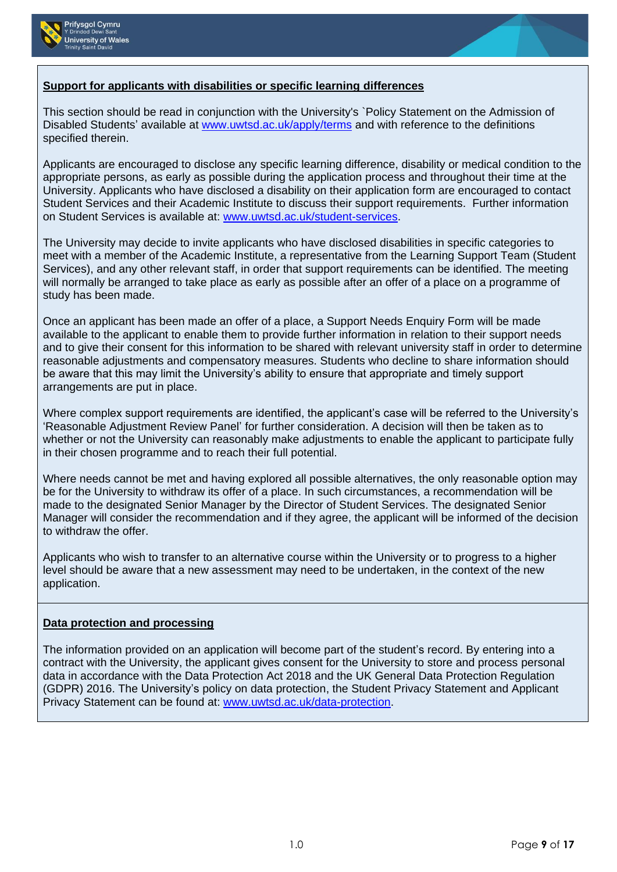



## **Support for applicants with disabilities or specific learning differences**

This section should be read in conjunction with the University's `Policy Statement on the Admission of Disabled Students' available at [www.uwtsd.ac.uk/apply/terms](http://www.uwtsd.ac.uk/apply/terms) and with reference to the definitions specified therein.

Applicants are encouraged to disclose any specific learning difference, disability or medical condition to the appropriate persons, as early as possible during the application process and throughout their time at the University. Applicants who have disclosed a disability on their application form are encouraged to contact Student Services and their Academic Institute to discuss their support requirements. Further information on Student Services is available at: [www.uwtsd.ac.uk/student-services.](http://www.uwtsd.ac.uk/student-services)

The University may decide to invite applicants who have disclosed disabilities in specific categories to meet with a member of the Academic Institute, a representative from the Learning Support Team (Student Services), and any other relevant staff, in order that support requirements can be identified. The meeting will normally be arranged to take place as early as possible after an offer of a place on a programme of study has been made.

Once an applicant has been made an offer of a place, a Support Needs Enquiry Form will be made available to the applicant to enable them to provide further information in relation to their support needs and to give their consent for this information to be shared with relevant university staff in order to determine reasonable adjustments and compensatory measures. Students who decline to share information should be aware that this may limit the University's ability to ensure that appropriate and timely support arrangements are put in place.

Where complex support requirements are identified, the applicant's case will be referred to the University's 'Reasonable Adjustment Review Panel' for further consideration. A decision will then be taken as to whether or not the University can reasonably make adjustments to enable the applicant to participate fully in their chosen programme and to reach their full potential.

Where needs cannot be met and having explored all possible alternatives, the only reasonable option may be for the University to withdraw its offer of a place. In such circumstances, a recommendation will be made to the designated Senior Manager by the Director of Student Services. The designated Senior Manager will consider the recommendation and if they agree, the applicant will be informed of the decision to withdraw the offer.

Applicants who wish to transfer to an alternative course within the University or to progress to a higher level should be aware that a new assessment may need to be undertaken, in the context of the new application.

### **Data protection and processing**

The information provided on an application will become part of the student's record. By entering into a contract with the University, the applicant gives consent for the University to store and process personal data in accordance with the Data Protection Act 2018 and the UK General Data Protection Regulation (GDPR) 2016. The University's policy on data protection, the Student Privacy Statement and Applicant Privacy Statement can be found at: [www.uwtsd.ac.uk/data-protection.](http://www.uwtsd.ac.uk/data-protection)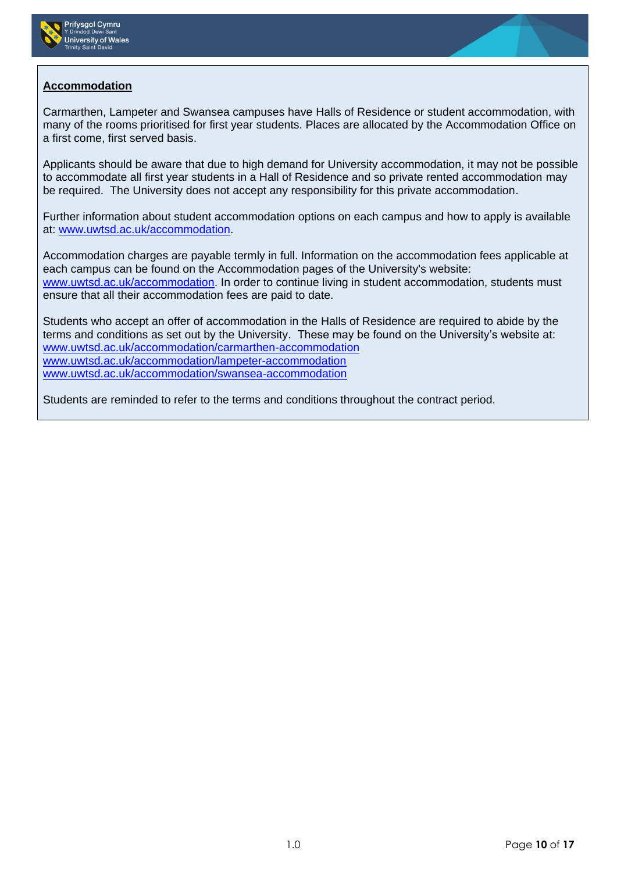



# **Accommodation**

Carmarthen, Lampeter and Swansea campuses have Halls of Residence or student accommodation, with many of the rooms prioritised for first year students. Places are allocated by the Accommodation Office on a first come, first served basis.

Applicants should be aware that due to high demand for University accommodation, it may not be possible to accommodate all first year students in a Hall of Residence and so private rented accommodation may be required. The University does not accept any responsibility for this private accommodation.

Further information about student accommodation options on each campus and how to apply is available at: [www.uwtsd.ac.uk/accommodation.](http://www.uwtsd.ac.uk/accommodation)

Accommodation charges are payable termly in full. Information on the accommodation fees applicable at each campus can be found on the Accommodation pages of the University's website: [www.uwtsd.ac.uk/accommodation.](http://www.uwtsd.ac.uk/accommodation) In order to continue living in student accommodation, students must ensure that all their accommodation fees are paid to date.

Students who accept an offer of accommodation in the Halls of Residence are required to abide by the terms and conditions as set out by the University. These may be found on the University's website at: [www.uwtsd.ac.uk/accommodation/carmarthen-accommodation](http://www.uwtsd.ac.uk/accommodation/carmarthen-accommodation) [www.uwtsd.ac.uk/accommodation/lampeter-accommodation](http://www.uwtsd.ac.uk/accommodation/lampeter-accommodation) [www.uwtsd.ac.uk/accommodation/swansea-accommodation](http://www.uwtsd.ac.uk/accommodation/swansea-accommodation)

Students are reminded to refer to the terms and conditions throughout the contract period.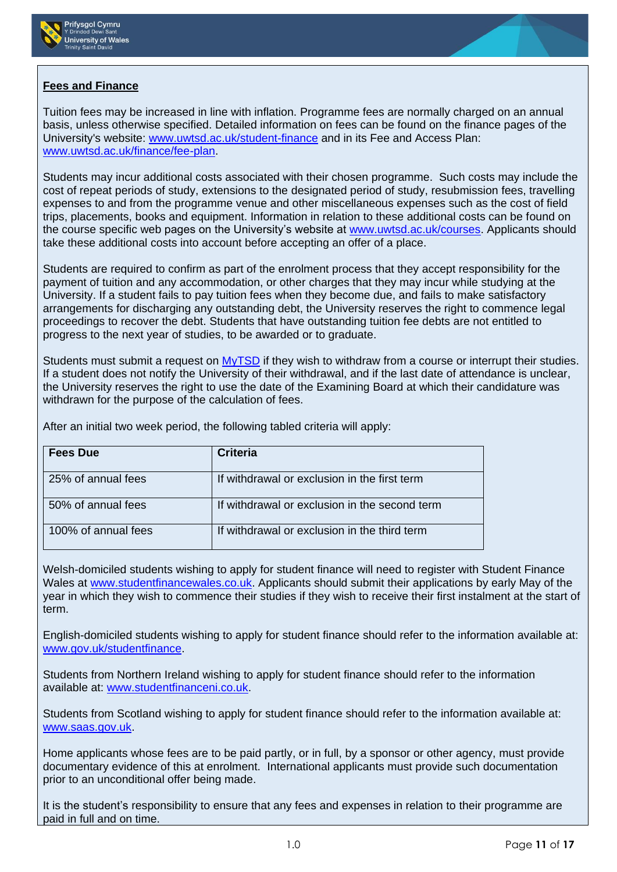



# **Fees and Finance**

Tuition fees may be increased in line with inflation. Programme fees are normally charged on an annual basis, unless otherwise specified. Detailed information on fees can be found on the finance pages of the University's website: [www.uwtsd.ac.uk/student-finance](http://www.uwtsd.ac.uk/student-finance) and in its Fee and Access Plan: [www.uwtsd.ac.uk/finance/fee-plan.](http://www.uwtsd.ac.uk/finance/fee-plan)

Students may incur additional costs associated with their chosen programme. Such costs may include the cost of repeat periods of study, extensions to the designated period of study, resubmission fees, travelling expenses to and from the programme venue and other miscellaneous expenses such as the cost of field trips, placements, books and equipment. Information in relation to these additional costs can be found on the course specific web pages on the University's website at [www.uwtsd.ac.uk/courses.](http://www.uwtsd.ac.uk/courses) Applicants should take these additional costs into account before accepting an offer of a place.

Students are required to confirm as part of the enrolment process that they accept responsibility for the payment of tuition and any accommodation, or other charges that they may incur while studying at the University. If a student fails to pay tuition fees when they become due, and fails to make satisfactory arrangements for discharging any outstanding debt, the University reserves the right to commence legal proceedings to recover the debt. Students that have outstanding tuition fee debts are not entitled to progress to the next year of studies, to be awarded or to graduate.

Students must submit a request on [MyTSD](https://mytsd.uwtsd.ac.uk/) if they wish to withdraw from a course or interrupt their studies. If a student does not notify the University of their withdrawal, and if the last date of attendance is unclear, the University reserves the right to use the date of the Examining Board at which their candidature was withdrawn for the purpose of the calculation of fees.

After an initial two week period, the following tabled criteria will apply:

| <b>Fees Due</b>     | <b>Criteria</b>                               |
|---------------------|-----------------------------------------------|
| 25% of annual fees  | If withdrawal or exclusion in the first term  |
| 50% of annual fees  | If withdrawal or exclusion in the second term |
| 100% of annual fees | If withdrawal or exclusion in the third term  |

Welsh-domiciled students wishing to apply for student finance will need to register with Student Finance Wales at [www.studentfinancewales.co.uk.](http://www.studentfinancewales.co.uk/) Applicants should submit their applications by early May of the year in which they wish to commence their studies if they wish to receive their first instalment at the start of term.

English-domiciled students wishing to apply for student finance should refer to the information available at: [www.gov.uk/studentfinance.](http://www.gov.uk/studentfinance)

Students from Northern Ireland wishing to apply for student finance should refer to the information available at: [www.studentfinanceni.co.uk.](http://www.studentfinanceni.co.uk/)

Students from Scotland wishing to apply for student finance should refer to the information available at: [www.saas.gov.uk.](http://www.saas.gov.uk/)

Home applicants whose fees are to be paid partly, or in full, by a sponsor or other agency, must provide documentary evidence of this at enrolment. International applicants must provide such documentation prior to an unconditional offer being made.

It is the student's responsibility to ensure that any fees and expenses in relation to their programme are paid in full and on time.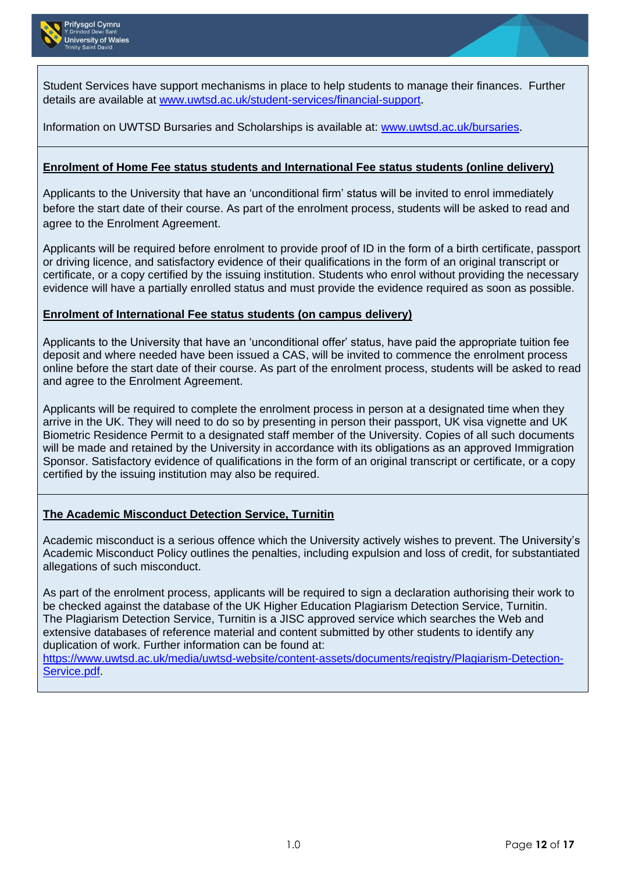

Student Services have support mechanisms in place to help students to manage their finances. Further details are available at [www.uwtsd.ac.uk/student-services/financial-support](http://www.uwtsd.ac.uk/student-services/financial-support).

# Information on UWTSD Bursaries and Scholarships is available at: [www.uwtsd.ac.uk/bursaries](http://www.uwtsd.ac.uk/bursaries).

### **Enrolment of Home Fee status students and International Fee status students (online delivery)**

Applicants to the University that have an 'unconditional firm' status will be invited to enrol immediately before the start date of their course. As part of the enrolment process, students will be asked to read and agree to the Enrolment Agreement.

Applicants will be required before enrolment to provide proof of ID in the form of a birth certificate, passport or driving licence, and satisfactory evidence of their qualifications in the form of an original transcript or certificate, or a copy certified by the issuing institution. Students who enrol without providing the necessary evidence will have a partially enrolled status and must provide the evidence required as soon as possible.

#### **Enrolment of International Fee status students (on campus delivery)**

Applicants to the University that have an 'unconditional offer' status, have paid the appropriate tuition fee deposit and where needed have been issued a CAS, will be invited to commence the enrolment process online before the start date of their course. As part of the enrolment process, students will be asked to read and agree to the Enrolment Agreement.

Applicants will be required to complete the enrolment process in person at a designated time when they arrive in the UK. They will need to do so by presenting in person their passport, UK visa vignette and UK Biometric Residence Permit to a designated staff member of the University. Copies of all such documents will be made and retained by the University in accordance with its obligations as an approved Immigration Sponsor. Satisfactory evidence of qualifications in the form of an original transcript or certificate, or a copy certified by the issuing institution may also be required.

### **The Academic Misconduct Detection Service, Turnitin**

Academic misconduct is a serious offence which the University actively wishes to prevent. The University's Academic Misconduct Policy outlines the penalties, including expulsion and loss of credit, for substantiated allegations of such misconduct.

As part of the enrolment process, applicants will be required to sign a declaration authorising their work to be checked against the database of the UK Higher Education Plagiarism Detection Service, Turnitin. The Plagiarism Detection Service, Turnitin is a JISC approved service which searches the Web and extensive databases of reference material and content submitted by other students to identify any duplication of work. Further information can be found at:

[https://www.uwtsd.ac.uk/media/uwtsd-website/content-assets/documents/registry/Plagiarism-Detection-](https://www.uwtsd.ac.uk/media/uwtsd-website/content-assets/documents/registry/Plagiarism-Detection-Service.pdf)[Service.pdf.](https://www.uwtsd.ac.uk/media/uwtsd-website/content-assets/documents/registry/Plagiarism-Detection-Service.pdf)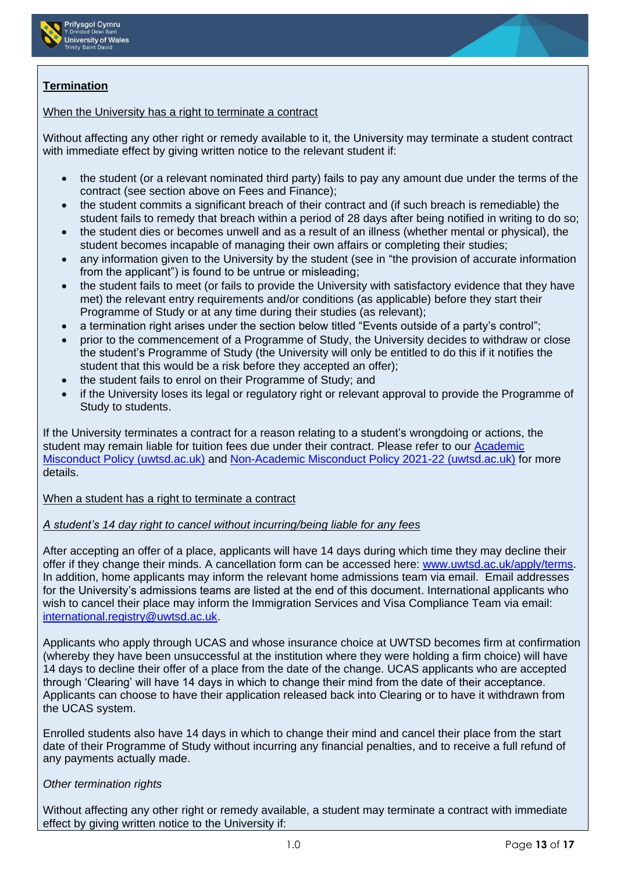



# **Termination**

## When the University has a right to terminate a contract

Without affecting any other right or remedy available to it, the University may terminate a student contract with immediate effect by giving written notice to the relevant student if:

- the student (or a relevant nominated third party) fails to pay any amount due under the terms of the contract (see section above on Fees and Finance);
- the student commits a significant breach of their contract and (if such breach is remediable) the student fails to remedy that breach within a period of 28 days after being notified in writing to do so;
- the student dies or becomes unwell and as a result of an illness (whether mental or physical), the student becomes incapable of managing their own affairs or completing their studies;
- any information given to the University by the student (see in "the provision of accurate information from the applicant") is found to be untrue or misleading;
- the student fails to meet (or fails to provide the University with satisfactory evidence that they have met) the relevant entry requirements and/or conditions (as applicable) before they start their Programme of Study or at any time during their studies (as relevant);
- a termination right arises under the section below titled "Events outside of a party's control";
- prior to the commencement of a Programme of Study, the University decides to withdraw or close the student's Programme of Study (the University will only be entitled to do this if it notifies the student that this would be a risk before they accepted an offer);
- the student fails to enrol on their Programme of Study; and
- if the University loses its legal or regulatory right or relevant approval to provide the Programme of Study to students.

If the University terminates a contract for a reason relating to a student's wrongdoing or actions, the student may remain liable for tuition fees due under their contract. Please refer to our [Academic](https://www.uwtsd.ac.uk/media/uwtsd-website/content-assets/documents/academic-office/misc-forms/Academic_Misconduct_Policy_2021-22.pdf)  [Misconduct Policy \(uwtsd.ac.uk\)](https://www.uwtsd.ac.uk/media/uwtsd-website/content-assets/documents/academic-office/misc-forms/Academic_Misconduct_Policy_2021-22.pdf) and [Non-Academic Misconduct Policy 2021-22 \(uwtsd.ac.uk\)](https://www.uwtsd.ac.uk/media/uwtsd-website/content-assets/documents/academic-office/misc-forms/Non-Academic_Misconduct_Policy_2021-22.pdf) for more details.

### When a student has a right to terminate a contract

### *A student's 14 day right to cancel without incurring/being liable for any fees*

After accepting an offer of a place, applicants will have 14 days during which time they may decline their offer if they change their minds. A cancellation form can be accessed here: [www.uwtsd.ac.uk/apply/terms.](http://www.uwtsd.ac.uk/apply/terms) In addition, home applicants may inform the relevant home admissions team via email. Email addresses for the University's admissions teams are listed at the end of this document. International applicants who wish to cancel their place may inform the Immigration Services and Visa Compliance Team via email: [international.registry@uwtsd.ac.uk.](mailto:international.registry@uwtsd.ac.uk)

Applicants who apply through UCAS and whose insurance choice at UWTSD becomes firm at confirmation (whereby they have been unsuccessful at the institution where they were holding a firm choice) will have 14 days to decline their offer of a place from the date of the change. UCAS applicants who are accepted through 'Clearing' will have 14 days in which to change their mind from the date of their acceptance. Applicants can choose to have their application released back into Clearing or to have it withdrawn from the UCAS system.

Enrolled students also have 14 days in which to change their mind and cancel their place from the start date of their Programme of Study without incurring any financial penalties, and to receive a full refund of any payments actually made.

# *Other termination rights*

Without affecting any other right or remedy available, a student may terminate a contract with immediate effect by giving written notice to the University if: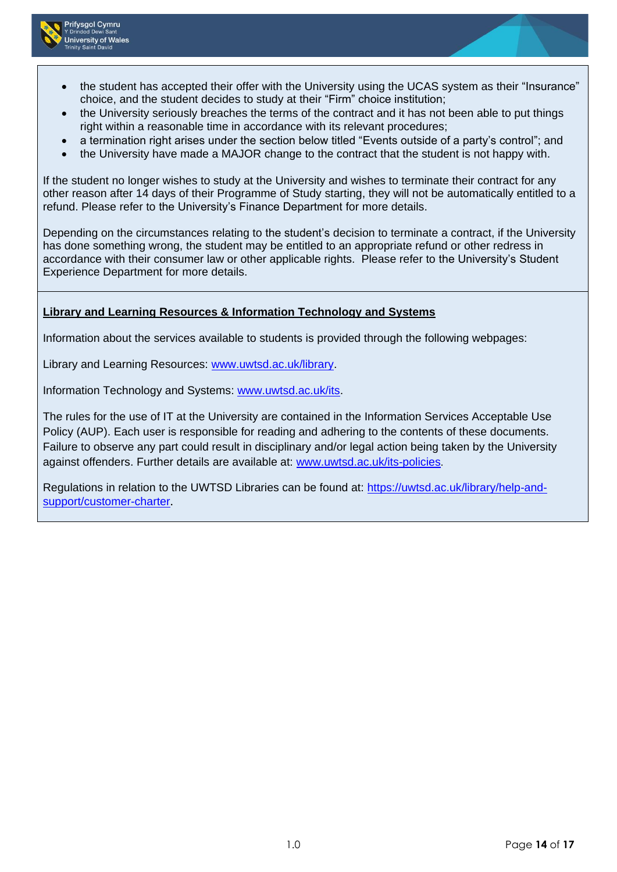

- the student has accepted their offer with the University using the UCAS system as their "Insurance" choice, and the student decides to study at their "Firm" choice institution;
- the University seriously breaches the terms of the contract and it has not been able to put things right within a reasonable time in accordance with its relevant procedures;
- a termination right arises under the section below titled "Events outside of a party's control"; and
- the University have made a MAJOR change to the contract that the student is not happy with.

If the student no longer wishes to study at the University and wishes to terminate their contract for any other reason after 14 days of their Programme of Study starting, they will not be automatically entitled to a refund. Please refer to the University's Finance Department for more details.

Depending on the circumstances relating to the student's decision to terminate a contract, if the University has done something wrong, the student may be entitled to an appropriate refund or other redress in accordance with their consumer law or other applicable rights. Please refer to the University's Student Experience Department for more details.

# **Library and Learning Resources & Information Technology and Systems**

Information about the services available to students is provided through the following webpages:

Library and Learning Resources: [www.uwtsd.ac.uk/library.](http://www.uwtsd.ac.uk/library)

Information Technology and Systems: [www.uwtsd.ac.uk/its.](http://www.uwtsd.ac.uk/its)

The rules for the use of IT at the University are contained in the Information Services Acceptable Use Policy (AUP). Each user is responsible for reading and adhering to the contents of these documents. Failure to observe any part could result in disciplinary and/or legal action being taken by the University against offenders. Further details are available at: [www.uwtsd.ac.uk/its-policies](http://www.uwtsd.ac.uk/its-policies).

Regulations in relation to the UWTSD Libraries can be found at: [https://uwtsd.ac.uk/library/help-and](https://uwtsd.ac.uk/library/help-and-support/customer-charter)[support/customer-charter](https://uwtsd.ac.uk/library/help-and-support/customer-charter).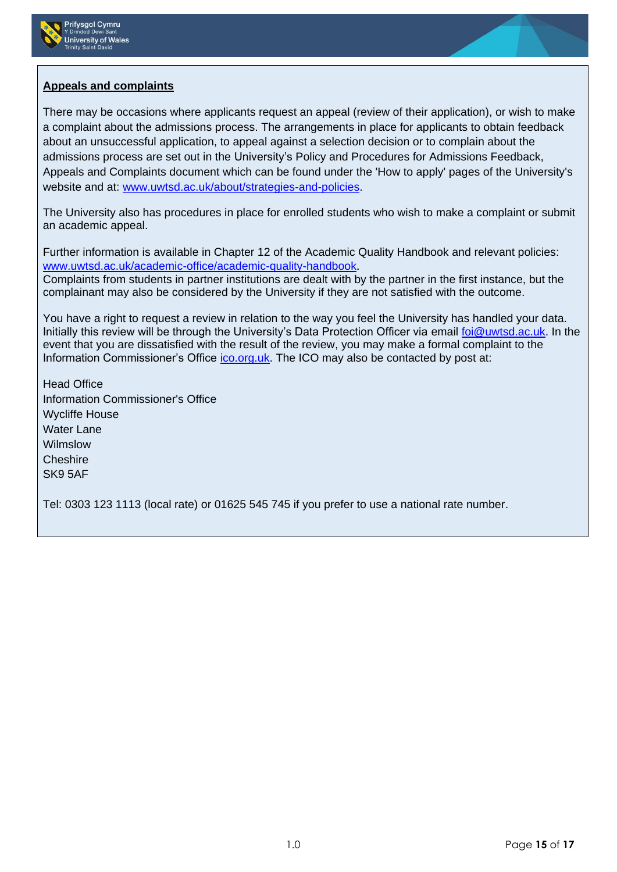



# **Appeals and complaints**

There may be occasions where applicants request an appeal (review of their application), or wish to make a complaint about the admissions process. The arrangements in place for applicants to obtain feedback about an unsuccessful application, to appeal against a selection decision or to complain about the admissions process are set out in the University's Policy and Procedures for Admissions Feedback, Appeals and Complaints document which can be found under the 'How to apply' pages of the University's website and at: [www.uwtsd.ac.uk/about/strategies-and-policies.](http://www.uwtsd.ac.uk/about/strategies-and-policies)

The University also has procedures in place for enrolled students who wish to make a complaint or submit an academic appeal.

Further information is available in Chapter 12 of the Academic Quality Handbook and relevant policies: [www.uwtsd.ac.uk/academic-office/academic-quality-handbook](http://www.uwtsd.ac.uk/academic-office/academic-quality-handbook).

Complaints from students in partner institutions are dealt with by the partner in the first instance, but the complainant may also be considered by the University if they are not satisfied with the outcome.

You have a right to request a review in relation to the way you feel the University has handled your data. Initially this review will be through the University's Data Protection Officer via email [foi@uwtsd.ac.uk.](mailto:foi@uwtsd.ac.uk) In the event that you are dissatisfied with the result of the review, you may make a formal complaint to the Information Commissioner's Office [ico.org.uk.](https://ico.org.uk/) The ICO may also be contacted by post at:

Head Office Information Commissioner's Office Wycliffe House Water Lane Wilmslow **Cheshire** SK9 5AF

Tel: 0303 123 1113 (local rate) or 01625 545 745 if you prefer to use a national rate number.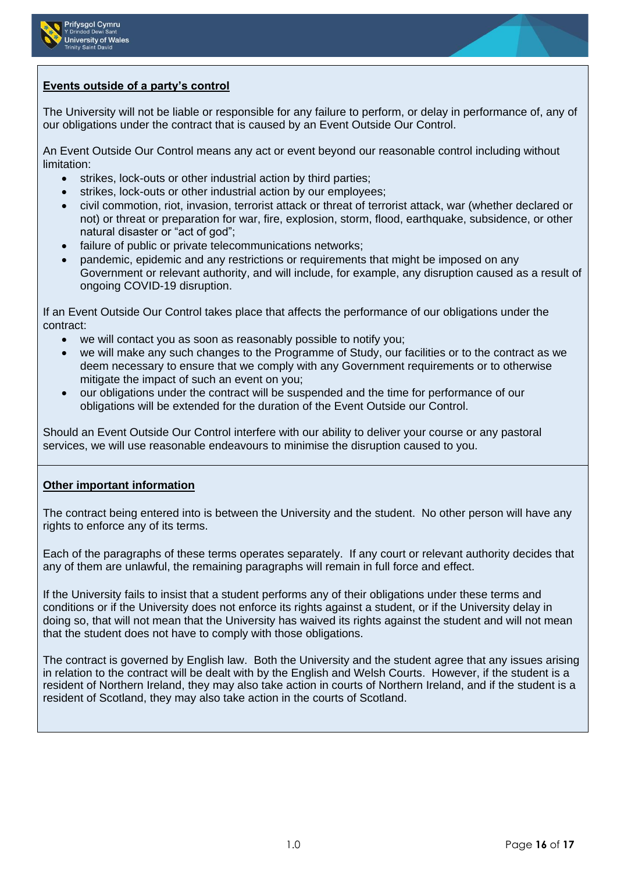



## **Events outside of a party's control**

The University will not be liable or responsible for any failure to perform, or delay in performance of, any of our obligations under the contract that is caused by an Event Outside Our Control.

An Event Outside Our Control means any act or event beyond our reasonable control including without limitation:

- strikes, lock-outs or other industrial action by third parties;
- strikes, lock-outs or other industrial action by our employees;
- civil commotion, riot, invasion, terrorist attack or threat of terrorist attack, war (whether declared or not) or threat or preparation for war, fire, explosion, storm, flood, earthquake, subsidence, or other natural disaster or "act of god";
- failure of public or private telecommunications networks;
- pandemic, epidemic and any restrictions or requirements that might be imposed on any Government or relevant authority, and will include, for example, any disruption caused as a result of ongoing COVID-19 disruption.

If an Event Outside Our Control takes place that affects the performance of our obligations under the contract:

- we will contact you as soon as reasonably possible to notify you;
- we will make any such changes to the Programme of Study, our facilities or to the contract as we deem necessary to ensure that we comply with any Government requirements or to otherwise mitigate the impact of such an event on you;
- our obligations under the contract will be suspended and the time for performance of our obligations will be extended for the duration of the Event Outside our Control.

Should an Event Outside Our Control interfere with our ability to deliver your course or any pastoral services, we will use reasonable endeavours to minimise the disruption caused to you.

# **Other important information**

The contract being entered into is between the University and the student. No other person will have any rights to enforce any of its terms.

Each of the paragraphs of these terms operates separately. If any court or relevant authority decides that any of them are unlawful, the remaining paragraphs will remain in full force and effect.

If the University fails to insist that a student performs any of their obligations under these terms and conditions or if the University does not enforce its rights against a student, or if the University delay in doing so, that will not mean that the University has waived its rights against the student and will not mean that the student does not have to comply with those obligations.

The contract is governed by English law. Both the University and the student agree that any issues arising in relation to the contract will be dealt with by the English and Welsh Courts. However, if the student is a resident of Northern Ireland, they may also take action in courts of Northern Ireland, and if the student is a resident of Scotland, they may also take action in the courts of Scotland.